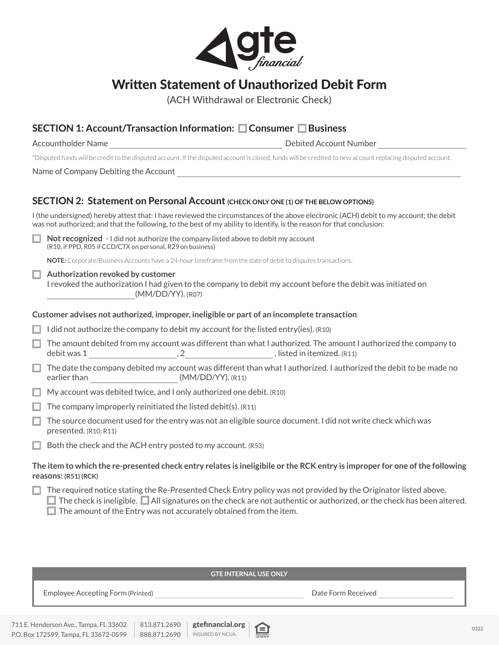

# Written Statement of Unauthorized Debit Form

(ACH Withdrawal or Electronic Check)

## **SECTION 1: Account/Transaction Information: Consumer Business**

Accountholder Name **Debited Account Number** Debited Account Number

\*Disputed funds will be credit to the disputed account. If the disputed account is closed, funds will be credited to new account replacing disputed account.

Name of Company Debiting the Account

### **SECTION 2: Statement on Personal Account (CHECK ONLY ONE (1) OF THE BELOW OPTIONS)**

I (the undersigned) hereby attest that: I have reviewed the circumstances of the above electronic (ACH) debit to my account; the debit was not authorized; and that the following, to the best of my ability to identify, is the reason for that conclusion:

**Not recognized** - I did not authorize the company listed above to debit my account (R10, if PPD, R05 if CCD/CTX on personal, R29 on business)

**NOTE:** Corporate/Business Accounts have a 24-hour timeframe from the date of debit to disputes transactions.

**Authorization revoked by customer** 

I revoked the authorization I had given to the company to debit my account before the debit was initiated on (MM/DD/YY). (R07)

#### **Customer advises not authorized, improper, ineligible or part of an incomplete transaction**

 $\Box$  I did not authorize the company to debit my account for the listed entry(ies). (R10)

- $\Box$  The amount debited from my account was different than what I authorized. The amount I authorized the company to debit was  $1 \quad \overbrace{\qquad \qquad }$ ,  $2 \quad \overbrace{\qquad \qquad }$ , listed in itemized. (R11)
- $\Box$  The date the company debited my account was different than what I authorized. I authorized the debit to be made no earlier than  $(MM/DD/YY)$ . (R11)
- $\Box$  My account was debited twice, and I only authorized one debit. (R10)
- $\Box$  The company improperly reinitiated the listed debit(s). (R11)
- $\Box$  The source document used for the entry was not an eligible source document. I did not write check which was presented. (R10; R11)
- $\Box$  Both the check and the ACH entry posted to my account. (R53)

**The item to which the re-presented check entry relates is ineligibile or the RCK entry is improper for one of the following reasons: (R51) (RCK)**

|  | The required notice stating the Re-Presented Check Entry policy was not provided by the Originator listed above. |  |
|--|------------------------------------------------------------------------------------------------------------------|--|
|  |                                                                                                                  |  |

 $\Box$  The check is ineligible.  $\Box$  All signatures on the check are not authentic or authorized, or the check has been altered.  $\Box$  The amount of the Entry was not accurately obtained from the item.

#### **GTE INTERNAL USE ONLY**

Employee Accepting Form (Printed) **Date Form Received Date Form Received Date Form Received** 

Г